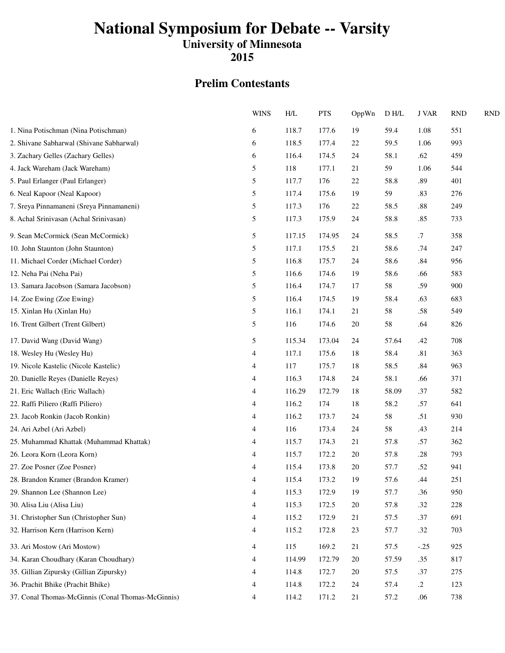## **National Symposium for Debate -- Varsity**

### **University of Minnesota**

**2015**

#### **Prelim Contestants**

|                                                   | <b>WINS</b> | H/L    | <b>PTS</b> | OppWn  | D H/L | <b>J VAR</b> | <b>RND</b> | <b>RND</b> |
|---------------------------------------------------|-------------|--------|------------|--------|-------|--------------|------------|------------|
| 1. Nina Potischman (Nina Potischman)              | 6           | 118.7  | 177.6      | 19     | 59.4  | 1.08         | 551        |            |
| 2. Shivane Sabharwal (Shivane Sabharwal)          | 6           | 118.5  | 177.4      | 22     | 59.5  | 1.06         | 993        |            |
| 3. Zachary Gelles (Zachary Gelles)                | 6           | 116.4  | 174.5      | 24     | 58.1  | .62          | 459        |            |
| 4. Jack Wareham (Jack Wareham)                    | 5           | 118    | 177.1      | 21     | 59    | 1.06         | 544        |            |
| 5. Paul Erlanger (Paul Erlanger)                  | 5           | 117.7  | 176        | 22     | 58.8  | .89          | 401        |            |
| 6. Neal Kapoor (Neal Kapoor)                      | 5           | 117.4  | 175.6      | 19     | 59    | .83          | 276        |            |
| 7. Sreya Pinnamaneni (Sreya Pinnamaneni)          | 5           | 117.3  | 176        | 22     | 58.5  | .88          | 249        |            |
| 8. Achal Srinivasan (Achal Srinivasan)            | 5           | 117.3  | 175.9      | 24     | 58.8  | .85          | 733        |            |
| 9. Sean McCormick (Sean McCormick)                | 5           | 117.15 | 174.95     | 24     | 58.5  | $.7\,$       | 358        |            |
| 10. John Staunton (John Staunton)                 | 5           | 117.1  | 175.5      | 21     | 58.6  | .74          | 247        |            |
| 11. Michael Corder (Michael Corder)               | 5           | 116.8  | 175.7      | 24     | 58.6  | .84          | 956        |            |
| 12. Neha Pai (Neha Pai)                           | 5           | 116.6  | 174.6      | 19     | 58.6  | .66          | 583        |            |
| 13. Samara Jacobson (Samara Jacobson)             | 5           | 116.4  | 174.7      | 17     | 58    | .59          | 900        |            |
| 14. Zoe Ewing (Zoe Ewing)                         | 5           | 116.4  | 174.5      | 19     | 58.4  | .63          | 683        |            |
| 15. Xinlan Hu (Xinlan Hu)                         | 5           | 116.1  | 174.1      | 21     | 58    | .58          | 549        |            |
| 16. Trent Gilbert (Trent Gilbert)                 | 5           | 116    | 174.6      | 20     | 58    | .64          | 826        |            |
| 17. David Wang (David Wang)                       | 5           | 115.34 | 173.04     | 24     | 57.64 | .42          | 708        |            |
| 18. Wesley Hu (Wesley Hu)                         | 4           | 117.1  | 175.6      | 18     | 58.4  | .81          | 363        |            |
| 19. Nicole Kastelic (Nicole Kastelic)             | 4           | 117    | 175.7      | 18     | 58.5  | .84          | 963        |            |
| 20. Danielle Reyes (Danielle Reyes)               | 4           | 116.3  | 174.8      | 24     | 58.1  | .66          | 371        |            |
| 21. Eric Wallach (Eric Wallach)                   | 4           | 116.29 | 172.79     | 18     | 58.09 | .37          | 582        |            |
| 22. Raffi Piliero (Raffi Piliero)                 | 4           | 116.2  | 174        | 18     | 58.2  | .57          | 641        |            |
| 23. Jacob Ronkin (Jacob Ronkin)                   | 4           | 116.2  | 173.7      | 24     | 58    | .51          | 930        |            |
| 24. Ari Azbel (Ari Azbel)                         | 4           | 116    | 173.4      | 24     | 58    | .43          | 214        |            |
| 25. Muhammad Khattak (Muhammad Khattak)           | 4           | 115.7  | 174.3      | 21     | 57.8  | .57          | 362        |            |
| 26. Leora Korn (Leora Korn)                       | 4           | 115.7  | 172.2      | 20     | 57.8  | .28          | 793        |            |
| 27. Zoe Posner (Zoe Posner)                       | 4           | 115.4  | 173.8      | $20\,$ | 57.7  | .52          | 941        |            |
| 28. Brandon Kramer (Brandon Kramer)               | 4           | 115.4  | 173.2      | 19     | 57.6  | .44          | 251        |            |
| 29. Shannon Lee (Shannon Lee)                     | 4           | 115.3  | 172.9      | 19     | 57.7  | .36          | 950        |            |
| 30. Alisa Liu (Alisa Liu)                         | 4           | 115.3  | 172.5      | 20     | 57.8  | .32          | 228        |            |
| 31. Christopher Sun (Christopher Sun)             | 4           | 115.2  | 172.9      | 21     | 57.5  | .37          | 691        |            |
| 32. Harrison Kern (Harrison Kern)                 | 4           | 115.2  | 172.8      | 23     | 57.7  | .32          | 703        |            |
| 33. Ari Mostow (Ari Mostow)                       | 4           | 115    | 169.2      | 21     | 57.5  | $-.25$       | 925        |            |
| 34. Karan Choudhary (Karan Choudhary)             | 4           | 114.99 | 172.79     | 20     | 57.59 | .35          | 817        |            |
| 35. Gillian Zipursky (Gillian Zipursky)           | 4           | 114.8  | 172.7      | 20     | 57.5  | .37          | 275        |            |
| 36. Prachit Bhike (Prachit Bhike)                 | 4           | 114.8  | 172.2      | 24     | 57.4  | $\cdot$ .2   | 123        |            |
| 37. Conal Thomas-McGinnis (Conal Thomas-McGinnis) | 4           | 114.2  | 171.2      | 21     | 57.2  | .06          | 738        |            |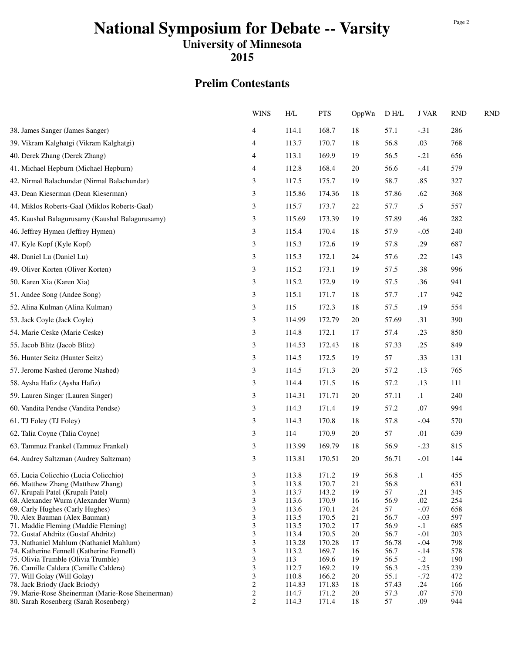## **National Symposium for Debate -- Varsity**

**University of Minnesota**

**2015**

#### **Prelim Contestants**

|                                                                            | <b>WINS</b>             | H/L            | <b>PTS</b>     | OppWn    | ${\rm D}$ H/L | <b>J VAR</b> | <b>RND</b> | <b>RND</b> |
|----------------------------------------------------------------------------|-------------------------|----------------|----------------|----------|---------------|--------------|------------|------------|
| 38. James Sanger (James Sanger)                                            | 4                       | 114.1          | 168.7          | 18       | 57.1          | $-.31$       | 286        |            |
| 39. Vikram Kalghatgi (Vikram Kalghatgi)                                    | 4                       | 113.7          | 170.7          | 18       | 56.8          | .03          | 768        |            |
| 40. Derek Zhang (Derek Zhang)                                              | 4                       | 113.1          | 169.9          | 19       | 56.5          | $-.21$       | 656        |            |
| 41. Michael Hepburn (Michael Hepburn)                                      | 4                       | 112.8          | 168.4          | 20       | 56.6          | $-.41$       | 579        |            |
| 42. Nirmal Balachundar (Nirmal Balachundar)                                | 3                       | 117.5          | 175.7          | 19       | 58.7          | .85          | 327        |            |
| 43. Dean Kieserman (Dean Kieserman)                                        | 3                       | 115.86         | 174.36         | 18       | 57.86         | .62          | 368        |            |
| 44. Miklos Roberts-Gaal (Miklos Roberts-Gaal)                              | 3                       | 115.7          | 173.7          | 22       | 57.7          | $.5\,$       | 557        |            |
|                                                                            |                         |                |                |          |               |              |            |            |
| 45. Kaushal Balagurusamy (Kaushal Balagurusamy)                            | 3                       | 115.69         | 173.39         | 19       | 57.89         | .46          | 282        |            |
| 46. Jeffrey Hymen (Jeffrey Hymen)                                          | 3                       | 115.4          | 170.4          | 18       | 57.9          | $-.05$       | 240        |            |
| 47. Kyle Kopf (Kyle Kopf)                                                  | 3                       | 115.3          | 172.6          | 19       | 57.8          | .29          | 687        |            |
| 48. Daniel Lu (Daniel Lu)                                                  | 3                       | 115.3          | 172.1          | 24       | 57.6          | .22          | 143        |            |
| 49. Oliver Korten (Oliver Korten)                                          | 3                       | 115.2          | 173.1          | 19       | 57.5          | .38          | 996        |            |
| 50. Karen Xia (Karen Xia)                                                  | 3                       | 115.2          | 172.9          | 19       | 57.5          | .36          | 941        |            |
| 51. Andee Song (Andee Song)                                                | 3                       | 115.1          | 171.7          | 18       | 57.7          | .17          | 942        |            |
| 52. Alina Kulman (Alina Kulman)                                            | 3                       | 115            | 172.3          | 18       | 57.5          | .19          | 554        |            |
| 53. Jack Coyle (Jack Coyle)                                                | 3                       | 114.99         | 172.79         | 20       | 57.69         | .31          | 390        |            |
| 54. Marie Ceske (Marie Ceske)                                              | 3                       | 114.8          | 172.1          | 17       | 57.4          | .23          | 850        |            |
|                                                                            |                         |                |                |          |               |              |            |            |
| 55. Jacob Blitz (Jacob Blitz)                                              | 3                       | 114.53         | 172.43         | 18       | 57.33         | .25          | 849        |            |
| 56. Hunter Seitz (Hunter Seitz)                                            | 3                       | 114.5          | 172.5          | 19       | 57            | .33          | 131        |            |
| 57. Jerome Nashed (Jerome Nashed)                                          | 3                       | 114.5          | 171.3          | 20       | 57.2          | .13          | 765        |            |
| 58. Aysha Hafiz (Aysha Hafiz)                                              | 3                       | 114.4          | 171.5          | 16       | 57.2          | .13          | 111        |            |
| 59. Lauren Singer (Lauren Singer)                                          | 3                       | 114.31         | 171.71         | 20       | 57.11         | $\cdot$ 1    | 240        |            |
| 60. Vandita Pendse (Vandita Pendse)                                        | 3                       | 114.3          | 171.4          | 19       | 57.2          | .07          | 994        |            |
| 61. TJ Foley (TJ Foley)                                                    | 3                       | 114.3          | 170.8          | 18       | 57.8          | $-.04$       | 570        |            |
| 62. Talia Coyne (Talia Coyne)                                              | 3                       | 114            | 170.9          | 20       | 57            | .01          | 639        |            |
| 63. Tammuz Frankel (Tammuz Frankel)                                        | 3                       | 113.99         | 169.79         | 18       | 56.9          | $-.23$       | 815        |            |
| 64. Audrey Saltzman (Audrey Saltzman)                                      | 3                       | 113.81         | 170.51         | 20       | 56.71         | $-.01$       | 144        |            |
|                                                                            |                         |                |                |          |               |              |            |            |
| 65. Lucia Colicchio (Lucia Colicchio)<br>66. Matthew Zhang (Matthew Zhang) | 3<br>3                  | 113.8<br>113.8 | 171.2<br>170.7 | 19<br>21 | 56.8<br>56.8  | $\cdot$      | 455<br>631 |            |
| 67. Krupali Patel (Krupali Patel)                                          | 3                       | 113.7          | 143.2          | 19       | 57            | .21          | 345        |            |
| 68. Alexander Wurm (Alexander Wurm)                                        | 3                       | 113.6          | 170.9          | 16       | 56.9          | .02          | 254        |            |
| 69. Carly Hughes (Carly Hughes)                                            | 3                       | 113.6          | 170.1          | 24       | 57            | $-.07$       | 658        |            |
| 70. Alex Bauman (Alex Bauman)                                              | 3                       | 113.5          | 170.5          | 21       | 56.7          | $-.03$       | 597        |            |
| 71. Maddie Fleming (Maddie Fleming)                                        | 3                       | 113.5          | 170.2          | 17       | 56.9          | $-.1$        | 685        |            |
| 72. Gustaf Ahdritz (Gustaf Ahdritz)                                        | 3                       | 113.4          | 170.5          | 20       | 56.7          | $-.01$       | 203        |            |
| 73. Nathaniel Mahlum (Nathaniel Mahlum)                                    | 3                       | 113.28         | 170.28         | 17       | 56.78         | $-.04$       | 798        |            |
| 74. Katherine Fennell (Katherine Fennell)                                  | 3                       | 113.2          | 169.7          | 16       | 56.7          | $-.14$       | 578        |            |
| 75. Olivia Trumble (Olivia Trumble)                                        | 3                       | 113            | 169.6          | 19       | 56.5          | $-.2$        | 190        |            |
| 76. Camille Caldera (Camille Caldera)                                      | 3                       | 112.7          | 169.2          | 19       | 56.3          | $-.25$       | 239        |            |
| 77. Will Golay (Will Golay)                                                | 3                       | 110.8          | 166.2          | 20       | 55.1          | $-.72$       | 472        |            |
| 78. Jack Briody (Jack Briody)                                              | $\overline{\mathbf{c}}$ | 114.83         | 171.83         | 18       | 57.43         | .24          | 166        |            |
| 79. Marie-Rose Sheinerman (Marie-Rose Sheinerman)                          | $\sqrt{2}$              | 114.7          | 171.2          | 20       | 57.3          | .07          | 570        |            |
| 80. Sarah Rosenberg (Sarah Rosenberg)                                      | $\overline{c}$          | 114.3          | 171.4          | 18       | 57            | .09          | 944        |            |

Page 2